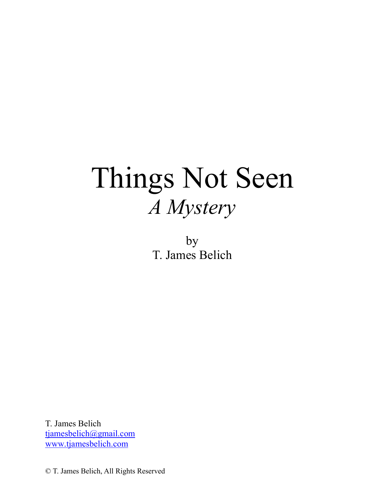# Things Not Seen *A Mystery*

by T. James Belich

T. James Belich tjamesbelich@gmail.com www.tjamesbelich.com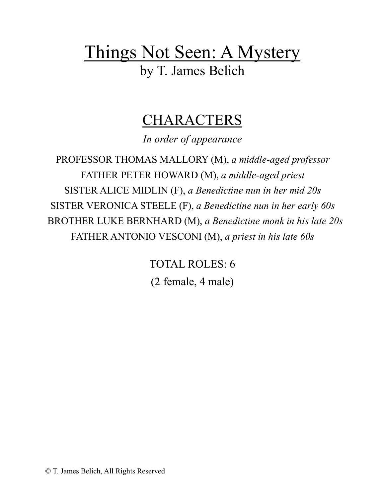## Things Not Seen: A Mystery by T. James Belich

### CHARACTERS

*In order of appearance*

PROFESSOR THOMAS MALLORY (M), *a middle-aged professor* FATHER PETER HOWARD (M), *a middle-aged priest* SISTER ALICE MIDLIN (F), *a Benedictine nun in her mid 20s* SISTER VERONICA STEELE (F), *a Benedictine nun in her early 60s* BROTHER LUKE BERNHARD (M), *a Benedictine monk in his late 20s* FATHER ANTONIO VESCONI (M), *a priest in his late 60s*

> TOTAL ROLES: 6 (2 female, 4 male)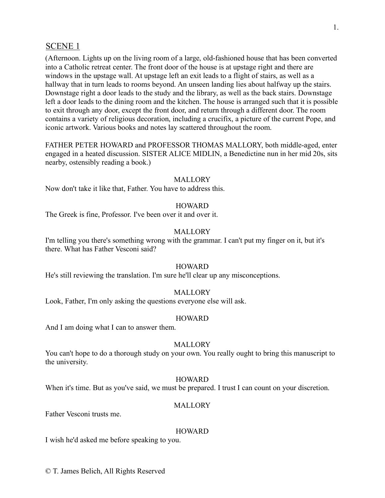#### SCENE 1

(Afternoon. Lights up on the living room of a large, old-fashioned house that has been converted into a Catholic retreat center. The front door of the house is at upstage right and there are windows in the upstage wall. At upstage left an exit leads to a flight of stairs, as well as a hallway that in turn leads to rooms beyond. An unseen landing lies about halfway up the stairs. Downstage right a door leads to the study and the library, as well as the back stairs. Downstage left a door leads to the dining room and the kitchen. The house is arranged such that it is possible to exit through any door, except the front door, and return through a different door. The room contains a variety of religious decoration, including a crucifix, a picture of the current Pope, and iconic artwork. Various books and notes lay scattered throughout the room.

FATHER PETER HOWARD and PROFESSOR THOMAS MALLORY, both middle-aged, enter engaged in a heated discussion. SISTER ALICE MIDLIN, a Benedictine nun in her mid 20s, sits nearby, ostensibly reading a book.)

#### MALLORY

Now don't take it like that, Father. You have to address this.

#### HOWARD

The Greek is fine, Professor. I've been over it and over it.

#### MALLORY

I'm telling you there's something wrong with the grammar. I can't put my finger on it, but it's there. What has Father Vesconi said?

#### **HOWARD**

He's still reviewing the translation. I'm sure he'll clear up any misconceptions.

#### **MALLORY**

Look, Father, I'm only asking the questions everyone else will ask.

#### HOWARD

And I am doing what I can to answer them.

#### **MALLORY**

You can't hope to do a thorough study on your own. You really ought to bring this manuscript to the university.

#### HOWARD

When it's time. But as you've said, we must be prepared. I trust I can count on your discretion.

#### **MALLORY**

Father Vesconi trusts me.

#### HOWARD

I wish he'd asked me before speaking to you.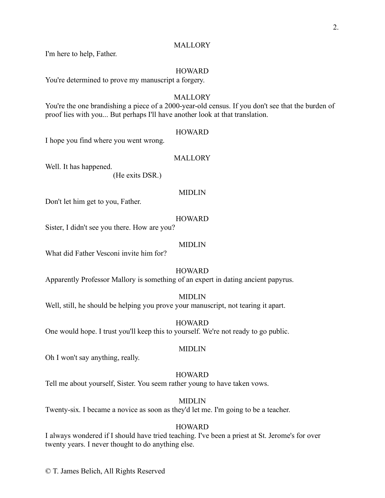#### **MALLORY**

I'm here to help, Father.

#### **HOWARD**

You're determined to prove my manuscript a forgery.

#### **MALLORY**

You're the one brandishing a piece of a 2000-year-old census. If you don't see that the burden of proof lies with you... But perhaps I'll have another look at that translation.

#### **HOWARD**

I hope you find where you went wrong.

#### **MALLORY**

Well. It has happened.

(He exits DSR.)

#### MIDLIN

Don't let him get to you, Father.

#### **HOWARD**

Sister, I didn't see you there. How are you?

#### MIDLIN

What did Father Vesconi invite him for?

#### HOWARD

Apparently Professor Mallory is something of an expert in dating ancient papyrus.

#### MIDLIN

Well, still, he should be helping you prove your manuscript, not tearing it apart.

#### **HOWARD**

One would hope. I trust you'll keep this to yourself. We're not ready to go public.

#### MIDLIN

Oh I won't say anything, really.

#### **HOWARD**

Tell me about yourself, Sister. You seem rather young to have taken vows.

#### MIDLIN

Twenty-six. I became a novice as soon as they'd let me. I'm going to be a teacher.

#### HOWARD

I always wondered if I should have tried teaching. I've been a priest at St. Jerome's for over twenty years. I never thought to do anything else.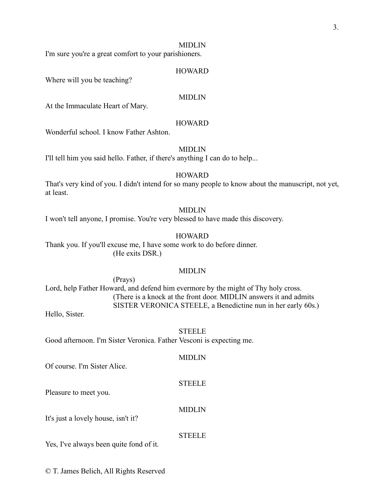#### MIDLIN

I'm sure you're a great comfort to your parishioners.

#### **HOWARD**

Where will you be teaching?

#### MIDLIN

At the Immaculate Heart of Mary.

#### HOWARD

Wonderful school. I know Father Ashton.

#### MIDLIN

I'll tell him you said hello. Father, if there's anything I can do to help...

#### **HOWARD**

That's very kind of you. I didn't intend for so many people to know about the manuscript, not yet, at least.

#### MIDLIN

I won't tell anyone, I promise. You're very blessed to have made this discovery.

#### **HOWARD**

Thank you. If you'll excuse me, I have some work to do before dinner. (He exits DSR.)

#### MIDLIN

(Prays) Lord, help Father Howard, and defend him evermore by the might of Thy holy cross. (There is a knock at the front door. MIDLIN answers it and admits SISTER VERONICA STEELE, a Benedictine nun in her early 60s.)

Hello, Sister.

#### STEELE

 $\sqrt{m}$ 

Good afternoon. I'm Sister Veronica. Father Vesconi is expecting me.

| Of course. I'm Sister Alice.            | MIDLIN        |
|-----------------------------------------|---------------|
| Pleasure to meet you.                   | <b>STEELE</b> |
| It's just a lovely house, isn't it?     | <b>MIDLIN</b> |
| Yes, I've always been quite fond of it. | <b>STEELE</b> |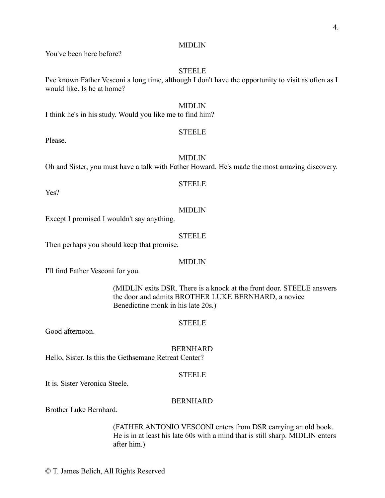#### MIDLIN

You've been here before?

#### **STEELE**

I've known Father Vesconi a long time, although I don't have the opportunity to visit as often as I would like. Is he at home?

#### MIDLIN

I think he's in his study. Would you like me to find him?

#### **STEELE**

Please.

#### MIDLIN

Oh and Sister, you must have a talk with Father Howard. He's made the most amazing discovery.

#### **STEELE**

Yes?

#### MIDLIN

Except I promised I wouldn't say anything.

#### STEELE

Then perhaps you should keep that promise.

#### MIDLIN

I'll find Father Vesconi for you.

(MIDLIN exits DSR. There is a knock at the front door. STEELE answers the door and admits BROTHER LUKE BERNHARD, a novice Benedictine monk in his late 20s.)

#### **STEELE**

Good afternoon.

#### BERNHARD

Hello, Sister. Is this the Gethsemane Retreat Center?

#### **STEELE**

It is. Sister Veronica Steele.

#### BERNHARD

Brother Luke Bernhard.

(FATHER ANTONIO VESCONI enters from DSR carrying an old book. He is in at least his late 60s with a mind that is still sharp. MIDLIN enters after him.)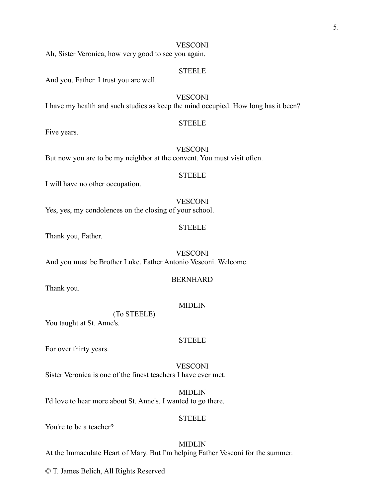#### **VESCONI**

Ah, Sister Veronica, how very good to see you again.

#### **STEELE**

And you, Father. I trust you are well.

#### VESCONI

I have my health and such studies as keep the mind occupied. How long has it been?

#### **STEELE**

Five years.

#### **VESCONI**

But now you are to be my neighbor at the convent. You must visit often.

#### **STEELE**

I will have no other occupation.

#### **VESCONI**

Yes, yes, my condolences on the closing of your school.

#### **STEELE**

Thank you, Father.

VESCONI And you must be Brother Luke. Father Antonio Vesconi. Welcome.

#### BERNHARD

Thank you.

#### MIDLIN

(To STEELE)

You taught at St. Anne's.

#### **STEELE**

For over thirty years.

**VESCONI** Sister Veronica is one of the finest teachers I have ever met.

MIDLIN I'd love to hear more about St. Anne's. I wanted to go there.

#### **STEELE**

You're to be a teacher?

MIDLIN At the Immaculate Heart of Mary. But I'm helping Father Vesconi for the summer.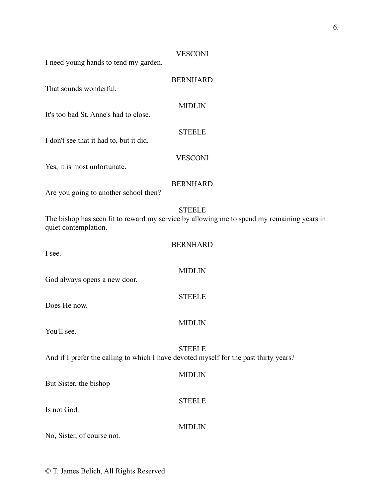### **VESCONI** I need young hands to tend my garden. BERNHARD That sounds wonderful. MIDLIN It's too bad St. Anne's had to close. STEELE I don't see that it had to, but it did. VESCONI Yes, it is most unfortunate. BERNHARD Are you going to another school then? STEELE The bishop has seen fit to reward my service by allowing me to spend my remaining years in quiet contemplation. BERNHARD I see. MIDLIN God always opens a new door. **STEELE** Does He now. MIDLIN You'll see. STEELE And if I prefer the calling to which I have devoted myself for the past thirty years? MIDLIN But Sister, the bishop— **STEELE** Is not God. MIDLIN

No, Sister, of course not.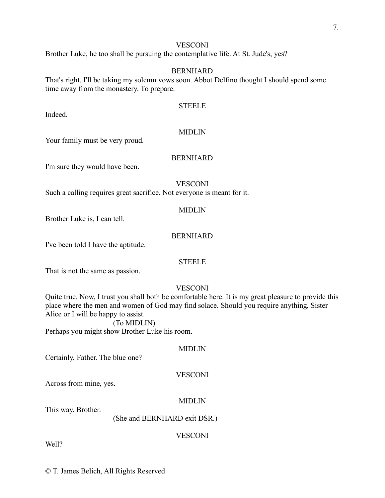#### **VESCONI**

Brother Luke, he too shall be pursuing the contemplative life. At St. Jude's, yes?

#### BERNHARD

That's right. I'll be taking my solemn vows soon. Abbot Delfino thought I should spend some time away from the monastery. To prepare.

#### STEELE

#### MIDLIN

Your family must be very proud.

Indeed.

#### BERNHARD

I'm sure they would have been.

#### VESCONI

Such a calling requires great sacrifice. Not everyone is meant for it.

#### MIDLIN

Brother Luke is, I can tell.

#### BERNHARD

I've been told I have the aptitude.

#### STEELE

That is not the same as passion.

#### **VESCONI**

Quite true. Now, I trust you shall both be comfortable here. It is my great pleasure to provide this place where the men and women of God may find solace. Should you require anything, Sister Alice or I will be happy to assist.

(To MIDLIN) Perhaps you might show Brother Luke his room.

#### MIDLIN

Certainly, Father. The blue one?

#### **VESCONI**

Across from mine, yes.

#### MIDLIN

This way, Brother.

#### (She and BERNHARD exit DSR.)

#### VESCONI

Well?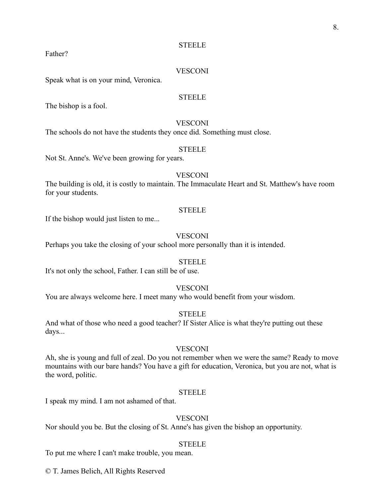Father?

#### **VESCONI**

Speak what is on your mind, Veronica.

#### **STEELE**

The bishop is a fool.

#### **VESCONI**

The schools do not have the students they once did. Something must close.

#### STEELE

Not St. Anne's. We've been growing for years.

#### **VESCONI**

The building is old, it is costly to maintain. The Immaculate Heart and St. Matthew's have room for your students.

#### **STEELE**

If the bishop would just listen to me...

#### **VESCONI**

Perhaps you take the closing of your school more personally than it is intended.

#### **STEELE**

It's not only the school, Father. I can still be of use.

#### **VESCONI**

You are always welcome here. I meet many who would benefit from your wisdom.

#### **STEELE**

And what of those who need a good teacher? If Sister Alice is what they're putting out these days...

#### **VESCONI**

Ah, she is young and full of zeal. Do you not remember when we were the same? Ready to move mountains with our bare hands? You have a gift for education, Veronica, but you are not, what is the word, politic.

#### **STEELE**

I speak my mind. I am not ashamed of that.

#### **VESCONI**

Nor should you be. But the closing of St. Anne's has given the bishop an opportunity.

#### **STEELE**

To put me where I can't make trouble, you mean.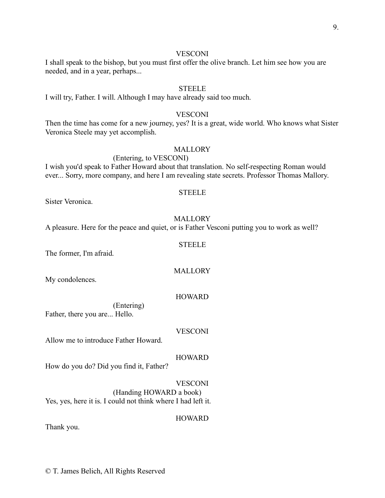#### **VESCONI**

#### I shall speak to the bishop, but you must first offer the olive branch. Let him see how you are needed, and in a year, perhaps...

#### STEELE

I will try, Father. I will. Although I may have already said too much.

#### **VESCONI**

Then the time has come for a new journey, yes? It is a great, wide world. Who knows what Sister Veronica Steele may yet accomplish.

#### **MALLORY**

#### (Entering, to VESCONI)

I wish you'd speak to Father Howard about that translation. No self-respecting Roman would ever... Sorry, more company, and here I am revealing state secrets. Professor Thomas Mallory.

#### STEELE

Sister Veronica.

#### **MALLORY**

A pleasure. Here for the peace and quiet, or is Father Vesconi putting you to work as well?

#### STEELE

The former, I'm afraid.

My condolences.

**MALLORY** 

#### HOWARD

(Entering) Father, there you are... Hello.

#### **VESCONI**

Allow me to introduce Father Howard.

#### **HOWARD**

How do you do? Did you find it, Father?

**VESCONI** 

HOWARD

(Handing HOWARD a book) Yes, yes, here it is. I could not think where I had left it.

Thank you.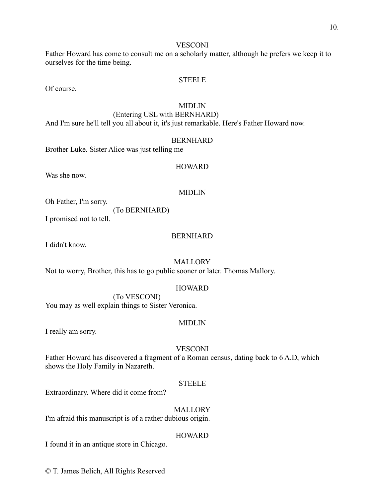#### VESCONI

Father Howard has come to consult me on a scholarly matter, although he prefers we keep it to ourselves for the time being.

#### **STEELE**

Of course.

#### MIDLIN

(Entering USL with BERNHARD) And I'm sure he'll tell you all about it, it's just remarkable. Here's Father Howard now.

#### BERNHARD

Brother Luke. Sister Alice was just telling me—

Was she now.

#### MIDLIN

HOWARD

Oh Father, I'm sorry.

(To BERNHARD)

I promised not to tell.

#### BERNHARD

I didn't know.

#### MALLORY

Not to worry, Brother, this has to go public sooner or later. Thomas Mallory.

#### HOWARD

(To VESCONI) You may as well explain things to Sister Veronica.

#### MIDLIN

I really am sorry.

#### **VESCONI**

Father Howard has discovered a fragment of a Roman census, dating back to 6 A.D, which shows the Holy Family in Nazareth.

#### **STEELE**

Extraordinary. Where did it come from?

MALLORY

I'm afraid this manuscript is of a rather dubious origin.

#### **HOWARD**

I found it in an antique store in Chicago.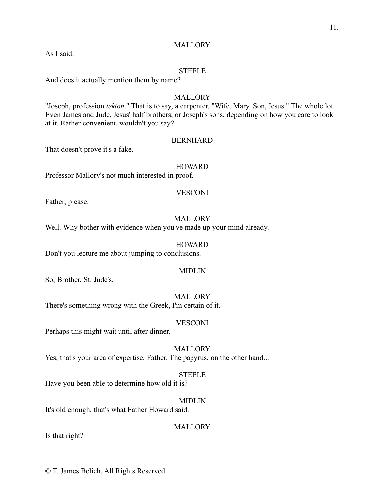#### **MALLORY**

As I said.

#### STEELE

And does it actually mention them by name?

#### **MALLORY**

"Joseph, profession *tekton*." That is to say, a carpenter. "Wife, Mary. Son, Jesus." The whole lot. Even James and Jude, Jesus' half brothers, or Joseph's sons, depending on how you care to look at it. Rather convenient, wouldn't you say?

#### BERNHARD

That doesn't prove it's a fake.

#### HOWARD

Professor Mallory's not much interested in proof.

#### VESCONI

Father, please.

#### **MALLORY**

Well. Why bother with evidence when you've made up your mind already.

#### **HOWARD**

Don't you lecture me about jumping to conclusions.

#### MIDLIN

So, Brother, St. Jude's.

#### **MALLORY**

There's something wrong with the Greek, I'm certain of it.

#### **VESCONI**

Perhaps this might wait until after dinner.

#### MALLORY

Yes, that's your area of expertise, Father. The papyrus, on the other hand...

#### **STEELE**

Have you been able to determine how old it is?

#### MIDLIN

It's old enough, that's what Father Howard said.

**MALLORY** 

Is that right?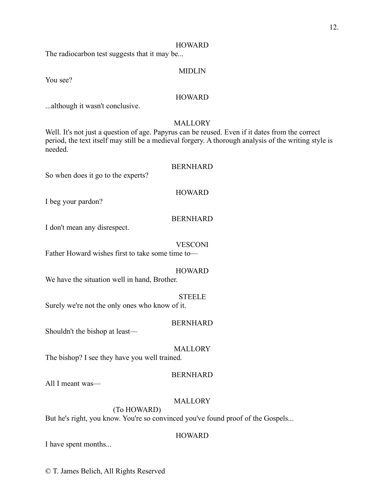#### **HOWARD**

The radiocarbon test suggests that it may be...

#### MIDLIN

You see?

#### **HOWARD**

...although it wasn't conclusive.

#### **MALLORY**

Well. It's not just a question of age. Papyrus can be reused. Even if it dates from the correct period, the text itself may still be a medieval forgery. A thorough analysis of the writing style is needed.

#### BERNHARD

So when does it go to the experts?

#### HOWARD

I beg your pardon?

#### BERNHARD

I don't mean any disrespect.

#### VESCONI

Father Howard wishes first to take some time to—

#### HOWARD

We have the situation well in hand, Brother.

#### **STEELE**

Surely we're not the only ones who know of it.

#### BERNHARD

Shouldn't the bishop at least—

#### **MALLORY**

The bishop? I see they have you well trained.

#### BERNHARD

All I meant was—

#### **MALLORY**

(To HOWARD)

But he's right, you know. You're so convinced you've found proof of the Gospels...

#### **HOWARD**

I have spent months...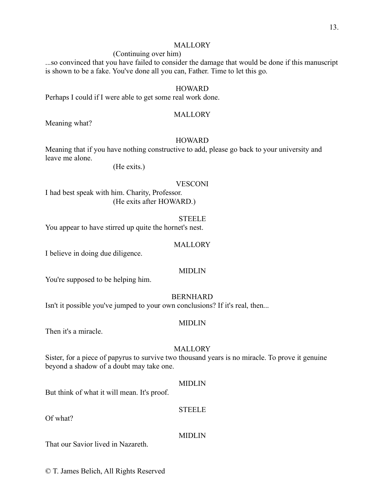#### **MALLORY**

#### (Continuing over him)

...so convinced that you have failed to consider the damage that would be done if this manuscript is shown to be a fake. You've done all you can, Father. Time to let this go.

#### **HOWARD**

Perhaps I could if I were able to get some real work done.

#### MALLORY

Meaning what?

#### **HOWARD**

Meaning that if you have nothing constructive to add, please go back to your university and leave me alone.

(He exits.)

#### **VESCONI**

I had best speak with him. Charity, Professor. (He exits after HOWARD.)

**STEELE** 

You appear to have stirred up quite the hornet's nest.

#### **MALLORY**

I believe in doing due diligence.

#### MIDLIN

You're supposed to be helping him.

#### BERNHARD

Isn't it possible you've jumped to your own conclusions? If it's real, then...

#### MIDLIN

Then it's a miracle.

#### MALLORY

Sister, for a piece of papyrus to survive two thousand years is no miracle. To prove it genuine beyond a shadow of a doubt may take one.

#### MIDLIN

But think of what it will mean. It's proof.

#### STEELE

MIDLIN

Of what?

That our Savior lived in Nazareth.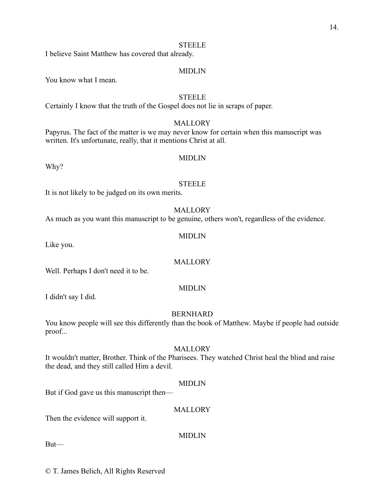I believe Saint Matthew has covered that already.

#### MIDLIN

You know what I mean.

#### **STEELE**

Certainly I know that the truth of the Gospel does not lie in scraps of paper.

#### **MALLORY**

Papyrus. The fact of the matter is we may never know for certain when this manuscript was written. It's unfortunate, really, that it mentions Christ at all.

#### MIDLIN

Why?

#### **STEELE**

It is not likely to be judged on its own merits.

MALLORY

MIDLIN

As much as you want this manuscript to be genuine, others won't, regardless of the evidence.

Like you.

#### MALLORY

Well. Perhaps I don't need it to be.

#### MIDLIN

I didn't say I did.

#### BERNHARD

You know people will see this differently than the book of Matthew. Maybe if people had outside proof...

#### MALLORY

It wouldn't matter, Brother. Think of the Pharisees. They watched Christ heal the blind and raise the dead, and they still called Him a devil.

#### MIDLIN

But if God gave us this manuscript then—

#### **MALLORY**

Then the evidence will support it.

#### MIDLIN

But—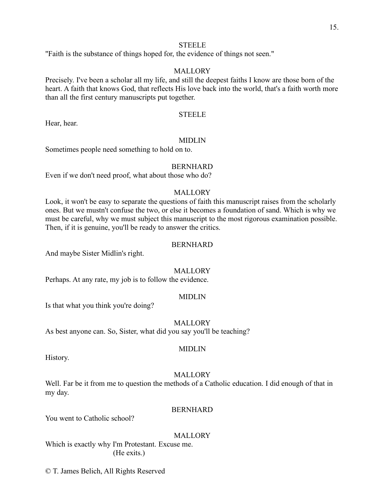"Faith is the substance of things hoped for, the evidence of things not seen."

#### **MALLORY**

Precisely. I've been a scholar all my life, and still the deepest faiths I know are those born of the heart. A faith that knows God, that reflects His love back into the world, that's a faith worth more than all the first century manuscripts put together.

#### STEELE

Hear, hear.

#### MIDLIN

Sometimes people need something to hold on to.

#### BERNHARD

Even if we don't need proof, what about those who do?

#### **MALLORY**

Look, it won't be easy to separate the questions of faith this manuscript raises from the scholarly ones. But we mustn't confuse the two, or else it becomes a foundation of sand. Which is why we must be careful, why we must subject this manuscript to the most rigorous examination possible. Then, if it is genuine, you'll be ready to answer the critics.

#### BERNHARD

And maybe Sister Midlin's right.

#### **MALLORY**

Perhaps. At any rate, my job is to follow the evidence.

#### MIDLIN

Is that what you think you're doing?

#### MALLORY

As best anyone can. So, Sister, what did you say you'll be teaching?

#### MIDLIN

History.

#### MALLORY

Well. Far be it from me to question the methods of a Catholic education. I did enough of that in my day.

#### **BERNHARD**

You went to Catholic school?

#### MALLORY

Which is exactly why I'm Protestant. Excuse me. (He exits.)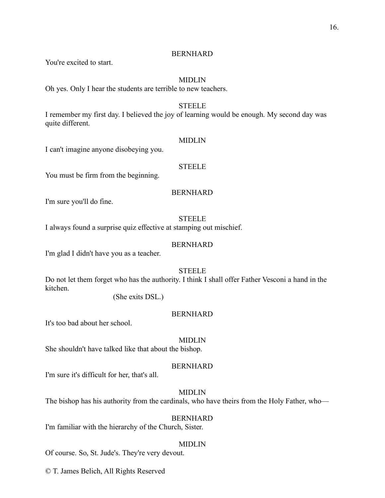You're excited to start.

#### MIDLIN

Oh yes. Only I hear the students are terrible to new teachers.

#### STEELE

I remember my first day. I believed the joy of learning would be enough. My second day was quite different.

#### MIDLIN

I can't imagine anyone disobeying you.

#### **STEELE**

You must be firm from the beginning.

#### BERNHARD

I'm sure you'll do fine.

#### **STEELE**

I always found a surprise quiz effective at stamping out mischief.

#### BERNHARD

I'm glad I didn't have you as a teacher.

#### **STEELE**

Do not let them forget who has the authority. I think I shall offer Father Vesconi a hand in the kitchen.

(She exits DSL.)

#### **BERNHARD**

It's too bad about her school.

#### MIDLIN

She shouldn't have talked like that about the bishop.

#### BERNHARD

I'm sure it's difficult for her, that's all.

#### MIDLIN

The bishop has his authority from the cardinals, who have theirs from the Holy Father, who—

#### BERNHARD

I'm familiar with the hierarchy of the Church, Sister.

#### MIDLIN

Of course. So, St. Jude's. They're very devout.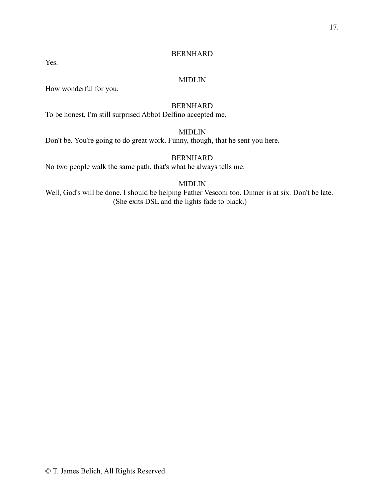Yes.

#### BERNHARD

#### MIDLIN

How wonderful for you.

#### BERNHARD

To be honest, I'm still surprised Abbot Delfino accepted me.

#### MIDLIN

Don't be. You're going to do great work. Funny, though, that he sent you here.

#### BERNHARD

No two people walk the same path, that's what he always tells me.

#### MIDLIN

Well, God's will be done. I should be helping Father Vesconi too. Dinner is at six. Don't be late. (She exits DSL and the lights fade to black.)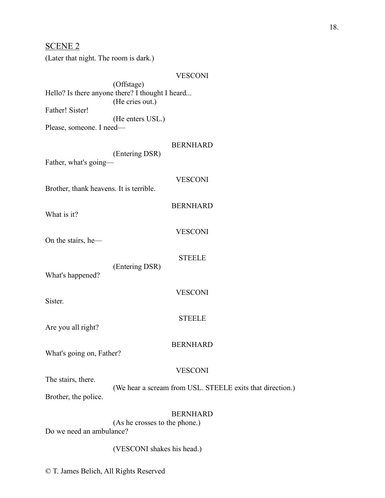| <b>SCENE 2</b><br>(Later that night. The room is dark.) |                                                                                                                        |
|---------------------------------------------------------|------------------------------------------------------------------------------------------------------------------------|
| Father! Sister!<br>Please, someone. I need-             | <b>VESCONI</b><br>(Offstage)<br>Hello? Is there anyone there? I thought I heard<br>(He cries out.)<br>(He enters USL.) |
| Father, what's going-                                   | <b>BERNHARD</b><br>(Entering DSR)                                                                                      |
| Brother, thank heavens. It is terrible.                 | <b>VESCONI</b>                                                                                                         |
| What is it?                                             | <b>BERNHARD</b>                                                                                                        |
| On the stairs, he-                                      | <b>VESCONI</b>                                                                                                         |
| What's happened?                                        | <b>STEELE</b><br>(Entering DSR)                                                                                        |
| Sister.                                                 | <b>VESCONI</b>                                                                                                         |
| Are you all right?                                      | <b>STEELE</b>                                                                                                          |
| What's going on, Father?                                | <b>BERNHARD</b>                                                                                                        |
| The stairs, there.<br>Brother, the police.              | <b>VESCONI</b><br>(We hear a scream from USL. STEELE exits that direction.)                                            |
| Do we need an ambulance?                                | <b>BERNHARD</b><br>(As he crosses to the phone.)                                                                       |
| (VESCONI shakes his head.)                              |                                                                                                                        |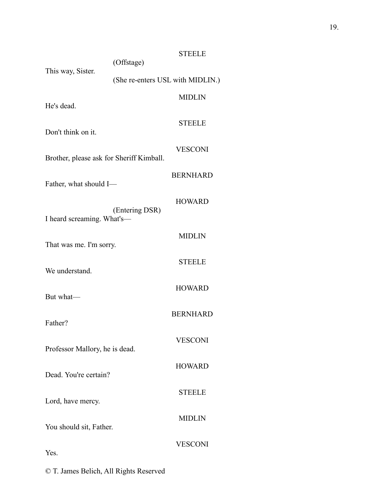| This way, Sister.                        | (Offstage)                       | <b>STEELE</b>   |
|------------------------------------------|----------------------------------|-----------------|
|                                          | (She re-enters USL with MIDLIN.) |                 |
|                                          |                                  | <b>MIDLIN</b>   |
| He's dead.                               |                                  |                 |
| Don't think on it                        |                                  | <b>STEELE</b>   |
| Brother, please ask for Sheriff Kimball. |                                  | <b>VESCONI</b>  |
| Father, what should I-                   |                                  | <b>BERNHARD</b> |
| I heard screaming. What's-               | (Entering DSR)                   | <b>HOWARD</b>   |
|                                          |                                  | <b>MIDLIN</b>   |
| That was me. I'm sorry.                  |                                  |                 |
| We understand.                           |                                  | <b>STEELE</b>   |
| But what-                                |                                  | <b>HOWARD</b>   |
| Father?                                  |                                  | <b>BERNHARD</b> |
| Professor Mallory, he is dead.           |                                  | <b>VESCONI</b>  |
| Dead. You're certain?                    |                                  | <b>HOWARD</b>   |
| Lord, have mercy.                        |                                  | <b>STEELE</b>   |
| You should sit, Father.                  |                                  | <b>MIDLIN</b>   |
| Yes.                                     |                                  | <b>VESCONI</b>  |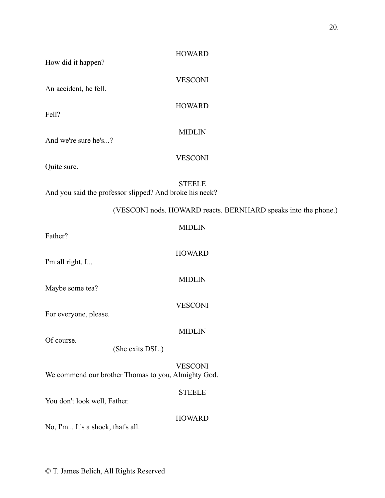| How did it happen?                | <b>HOWARD</b>                                                            |
|-----------------------------------|--------------------------------------------------------------------------|
| An accident, he fell.             | <b>VESCONI</b>                                                           |
| Fell?                             | <b>HOWARD</b>                                                            |
| And we're sure he's?              | <b>MIDLIN</b>                                                            |
| Quite sure.                       | <b>VESCONI</b>                                                           |
|                                   | <b>STEELE</b><br>And you said the professor slipped? And broke his neck? |
|                                   | (VESCONI nods. HOWARD reacts. BERNHARD speaks into the phone.)           |
| Father?                           | <b>MIDLIN</b>                                                            |
| I'm all right. I                  | <b>HOWARD</b>                                                            |
| Maybe some tea?                   | <b>MIDLIN</b>                                                            |
| For everyone, please.             | <b>VESCONI</b>                                                           |
| Of course.                        | <b>MIDLIN</b>                                                            |
|                                   | (She exits DSL.)                                                         |
|                                   | <b>VESCONI</b><br>We commend our brother Thomas to you, Almighty God.    |
| You don't look well, Father.      | <b>STEELE</b>                                                            |
| No, I'm It's a shock, that's all. | <b>HOWARD</b>                                                            |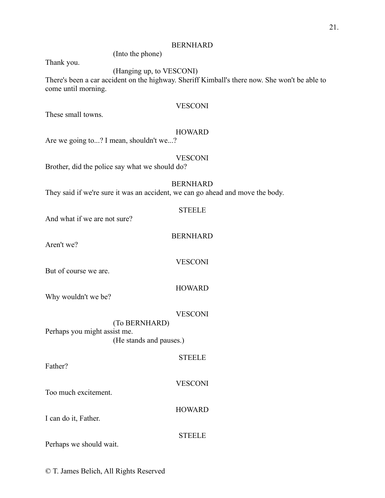(Into the phone)

Thank you.

#### (Hanging up, to VESCONI)

There's been a car accident on the highway. Sheriff Kimball's there now. She won't be able to come until morning.

#### **VESCONI**

These small towns.

#### HOWARD

Are we going to...? I mean, shouldn't we...?

#### **VESCONI**

Brother, did the police say what we should do?

#### BERNHARD

STEELE

BERNHARD

**VESCONI** 

They said if we're sure it was an accident, we can go ahead and move the body.

| And what if we are not sure? |
|------------------------------|
| Aren't we?                   |
| But of course we are         |

But of course we are.

HOWARD

Why wouldn't we be?

VESCONI

**STEELE** 

(To BERNHARD) Perhaps you might assist me. (He stands and pauses.)

Father?

**VESCONI** 

Too much excitement.

I can do it, Father.

**HOWARD** 

**STEELE** 

Perhaps we should wait.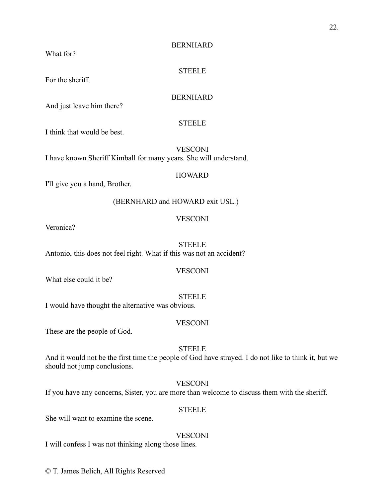What for?

**STEELE** 

For the sheriff.

#### BERNHARD

And just leave him there?

#### **STEELE**

I think that would be best.

**VESCONI** I have known Sheriff Kimball for many years. She will understand.

#### **HOWARD**

I'll give you a hand, Brother.

#### (BERNHARD and HOWARD exit USL.)

#### **VESCONI**

Veronica?

#### STEELE

Antonio, this does not feel right. What if this was not an accident?

**VESCONI** 

What else could it be?

#### **STEELE**

I would have thought the alternative was obvious.

#### **VESCONI**

These are the people of God.

#### STEELE

And it would not be the first time the people of God have strayed. I do not like to think it, but we should not jump conclusions.

#### **VESCONI**

If you have any concerns, Sister, you are more than welcome to discuss them with the sheriff.

#### **STEELE**

She will want to examine the scene.

#### **VESCONI**

I will confess I was not thinking along those lines.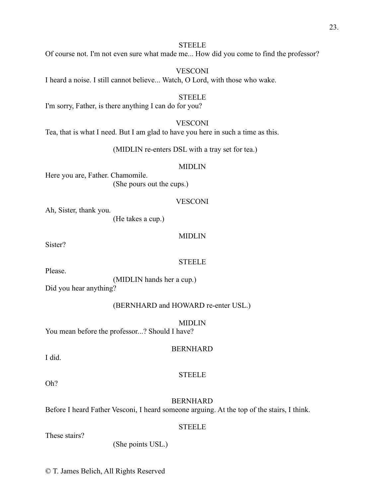Of course not. I'm not even sure what made me... How did you come to find the professor?

**VESCONI** I heard a noise. I still cannot believe... Watch, O Lord, with those who wake.

#### **STEELE**

I'm sorry, Father, is there anything I can do for you?

#### **VESCONI**

Tea, that is what I need. But I am glad to have you here in such a time as this.

(MIDLIN re-enters DSL with a tray set for tea.)

#### MIDLIN

Here you are, Father. Chamomile. (She pours out the cups.)

#### **VESCONI**

Ah, Sister, thank you.

(He takes a cup.)

#### MIDLIN

Sister?

#### STEELE

Please.

(MIDLIN hands her a cup.) Did you hear anything?

#### (BERNHARD and HOWARD re-enter USL.)

MIDLIN

You mean before the professor...? Should I have?

#### BERNHARD

I did.

#### **STEELE**

Oh?

#### BERNHARD

**STEELE** 

Before I heard Father Vesconi, I heard someone arguing. At the top of the stairs, I think.

These stairs?

(She points USL.)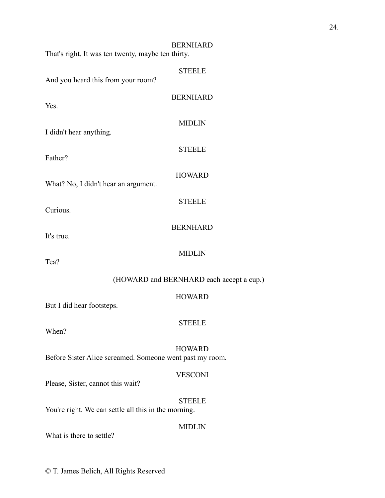| That's right. It was ten twenty, maybe ten thirty.       | <b>BERNHARD</b>                          |
|----------------------------------------------------------|------------------------------------------|
| And you heard this from your room?                       | <b>STEELE</b>                            |
| Yes.                                                     | <b>BERNHARD</b>                          |
| I didn't hear anything.                                  | <b>MIDLIN</b>                            |
| Father?                                                  | <b>STEELE</b>                            |
| What? No, I didn't hear an argument.                     | <b>HOWARD</b>                            |
| Curious.                                                 | <b>STEELE</b>                            |
| It's true.                                               | <b>BERNHARD</b>                          |
| Tea?                                                     | <b>MIDLIN</b>                            |
|                                                          | (HOWARD and BERNHARD each accept a cup.) |
| But I did hear footsteps.                                | <b>HOWARD</b>                            |
| When?                                                    | <b>STEELE</b>                            |
| Before Sister Alice screamed. Someone went past my room. | <b>HOWARD</b>                            |
| Please, Sister, cannot this wait?                        | <b>VESCONI</b>                           |
| You're right. We can settle all this in the morning.     | <b>STEELE</b>                            |
| What is there to settle?                                 | <b>MIDLIN</b>                            |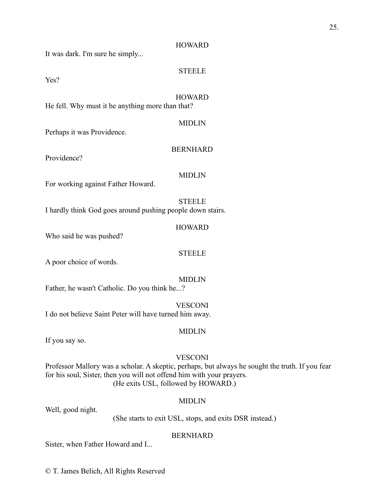#### **HOWARD**

It was dark. I'm sure he simply...

#### **STEELE**

Yes?

#### **HOWARD**

He fell. Why must it be anything more than that?

#### MIDLIN

Perhaps it was Providence.

#### BERNHARD

Providence?

#### MIDLIN

For working against Father Howard.

#### **STEELE**

I hardly think God goes around pushing people down stairs.

HOWARD

Who said he was pushed?

#### **STEELE**

A poor choice of words.

MIDLIN

Father, he wasn't Catholic. Do you think he...?

**VESCONI** I do not believe Saint Peter will have turned him away.

#### MIDLIN

If you say so.

#### **VESCONI**

Professor Mallory was a scholar. A skeptic, perhaps, but always he sought the truth. If you fear for his soul, Sister, then you will not offend him with your prayers. (He exits USL, followed by HOWARD.)

#### MIDLIN

Well, good night.

(She starts to exit USL, stops, and exits DSR instead.)

#### BERNHARD

Sister, when Father Howard and I...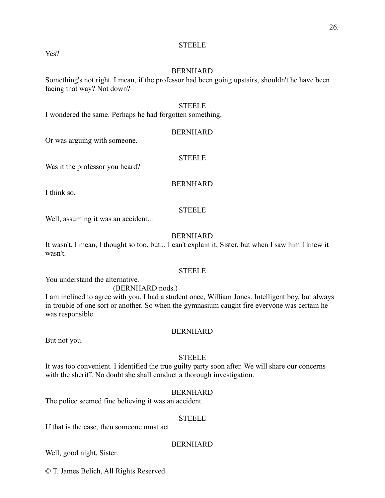#### Yes?

#### BERNHARD

Something's not right. I mean, if the professor had been going upstairs, shouldn't he have been facing that way? Not down?

#### **STEELE**

I wondered the same. Perhaps he had forgotten something.

#### BERNHARD

Or was arguing with someone.

#### STEELE

Was it the professor you heard?

#### BERNHARD

I think so.

#### STEELE

Well, assuming it was an accident...

#### BERNHARD

It wasn't. I mean, I thought so too, but... I can't explain it, Sister, but when I saw him I knew it wasn't.

#### **STEELE**

You understand the alternative.

#### (BERNHARD nods.)

I am inclined to agree with you. I had a student once, William Jones. Intelligent boy, but always in trouble of one sort or another. So when the gymnasium caught fire everyone was certain he was responsible.

#### BERNHARD

But not you.

#### **STEELE**

It was too convenient. I identified the true guilty party soon after. We will share our concerns with the sheriff. No doubt she shall conduct a thorough investigation.

#### BERNHARD

The police seemed fine believing it was an accident.

#### STEELE

If that is the case, then someone must act.

#### BERNHARD

Well, good night, Sister.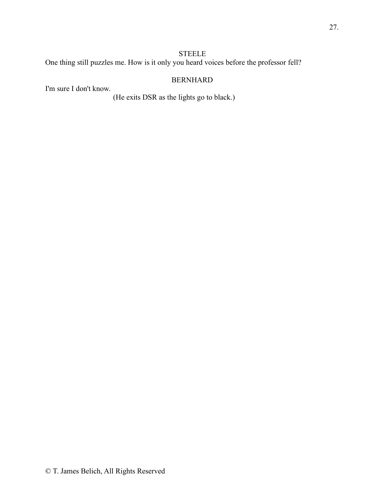One thing still puzzles me. How is it only you heard voices before the professor fell?

#### BERNHARD

I'm sure I don't know.

(He exits DSR as the lights go to black.)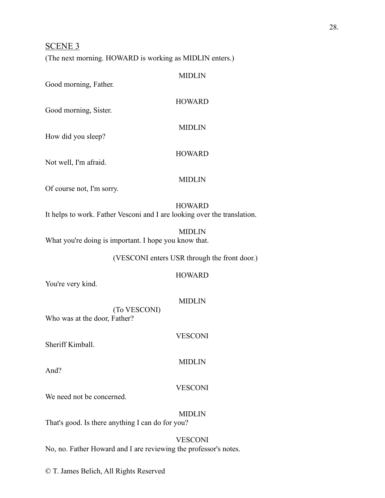#### SCENE 3

(The next morning. HOWARD is working as MIDLIN enters.)

| Good morning, Father.                                 | <b>MIDLIN</b>                                                                             |
|-------------------------------------------------------|-------------------------------------------------------------------------------------------|
| Good morning, Sister.                                 | <b>HOWARD</b>                                                                             |
| How did you sleep?                                    | <b>MIDLIN</b>                                                                             |
| Not well, I'm afraid.                                 | <b>HOWARD</b>                                                                             |
| Of course not, I'm sorry.                             | <b>MIDLIN</b>                                                                             |
|                                                       | <b>HOWARD</b><br>It helps to work. Father Vesconi and I are looking over the translation. |
| What you're doing is important. I hope you know that. | <b>MIDLIN</b>                                                                             |
|                                                       | (VESCONI enters USR through the front door.)                                              |
| You're very kind.                                     | <b>HOWARD</b>                                                                             |
| (To VESCONI)<br>Who was at the door, Father?          | <b>MIDLIN</b>                                                                             |
| Sheriff Kimball.                                      | <b>VESCONI</b>                                                                            |
| And?                                                  | <b>MIDLIN</b>                                                                             |
| We need not be concerned.                             | <b>VESCONI</b>                                                                            |
|                                                       | <b>MIDLIN</b>                                                                             |

That's good. Is there anything I can do for you?

#### **VESCONI**

No, no. Father Howard and I are reviewing the professor's notes.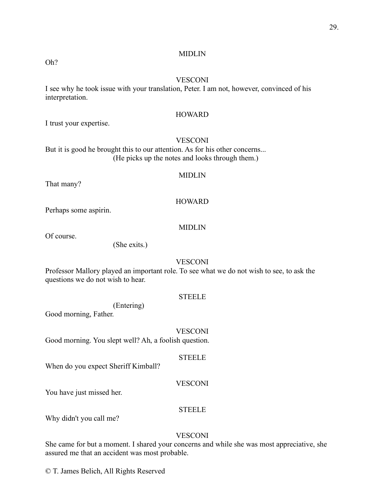#### MIDLIN

Oh?

#### **VESCONI**

I see why he took issue with your translation, Peter. I am not, however, convinced of his interpretation.

#### HOWARD

I trust your expertise.

#### **VESCONI**

But it is good he brought this to our attention. As for his other concerns... (He picks up the notes and looks through them.)

#### MIDLIN

That many?

#### HOWARD

Perhaps some aspirin.

#### MIDLIN

Of course.

(She exits.)

#### **VESCONI**

Professor Mallory played an important role. To see what we do not wish to see, to ask the questions we do not wish to hear.

#### **STEELE**

(Entering)

Good morning, Father.

#### **VESCONI**

Good morning. You slept well? Ah, a foolish question.

#### **STEELE**

When do you expect Sheriff Kimball?

#### **VESCONI**

You have just missed her.

#### **STEELE**

Why didn't you call me?

#### VESCONI

She came for but a moment. I shared your concerns and while she was most appreciative, she assured me that an accident was most probable.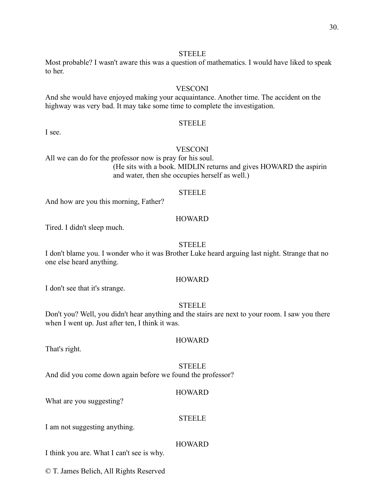Most probable? I wasn't aware this was a question of mathematics. I would have liked to speak to her.

#### **VESCONI**

And she would have enjoyed making your acquaintance. Another time. The accident on the highway was very bad. It may take some time to complete the investigation.

#### **STEELE**

I see.

#### **VESCONI**

All we can do for the professor now is pray for his soul. (He sits with a book. MIDLIN returns and gives HOWARD the aspirin and water, then she occupies herself as well.)

#### STEELE

And how are you this morning, Father?

#### **HOWARD**

Tired. I didn't sleep much.

#### STEELE

I don't blame you. I wonder who it was Brother Luke heard arguing last night. Strange that no one else heard anything.

#### **HOWARD**

I don't see that it's strange.

#### **STEELE**

Don't you? Well, you didn't hear anything and the stairs are next to your room. I saw you there when I went up. Just after ten, I think it was.

#### HOWARD

That's right.

#### STEELE

And did you come down again before we found the professor?

#### HOWARD

What are you suggesting?

#### STEELE

I am not suggesting anything.

#### **HOWARD**

I think you are. What I can't see is why.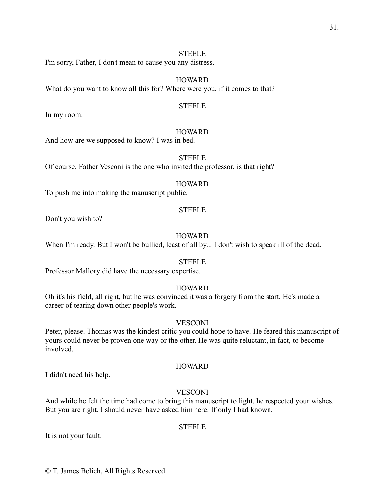I'm sorry, Father, I don't mean to cause you any distress.

#### **HOWARD**

What do you want to know all this for? Where were you, if it comes to that?

#### STEELE

In my room.

#### HOWARD

And how are we supposed to know? I was in bed.

#### STEELE

Of course. Father Vesconi is the one who invited the professor, is that right?

#### HOWARD

To push me into making the manuscript public.

#### STEELE

Don't you wish to?

#### **HOWARD**

When I'm ready. But I won't be bullied, least of all by... I don't wish to speak ill of the dead.

#### **STEELE**

Professor Mallory did have the necessary expertise.

#### HOWARD

Oh it's his field, all right, but he was convinced it was a forgery from the start. He's made a career of tearing down other people's work.

#### **VESCONI**

Peter, please. Thomas was the kindest critic you could hope to have. He feared this manuscript of yours could never be proven one way or the other. He was quite reluctant, in fact, to become involved.

#### **HOWARD**

I didn't need his help.

#### VESCONI

And while he felt the time had come to bring this manuscript to light, he respected your wishes. But you are right. I should never have asked him here. If only I had known.

#### **STEELE**

It is not your fault.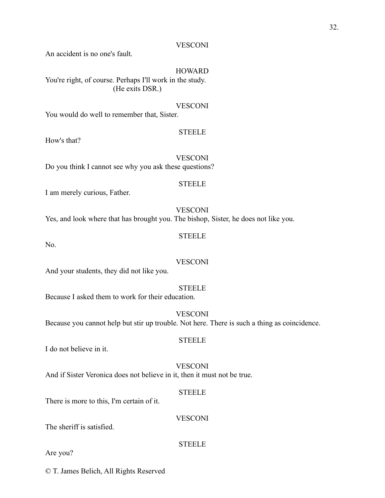#### VESCONI

An accident is no one's fault.

#### **HOWARD**

You're right, of course. Perhaps I'll work in the study. (He exits DSR.)

#### **VESCONI**

You would do well to remember that, Sister.

#### **STEELE**

How's that?

**VESCONI** Do you think I cannot see why you ask these questions?

#### **STEELE**

I am merely curious, Father.

VESCONI Yes, and look where that has brought you. The bishop, Sister, he does not like you.

STEELE

No.

#### VESCONI

And your students, they did not like you.

#### **STEELE**

**STEELE** 

Because I asked them to work for their education.

**VESCONI** Because you cannot help but stir up trouble. Not here. There is such a thing as coincidence.

I do not believe in it.

**VESCONI** And if Sister Veronica does not believe in it, then it must not be true.

#### **STEELE**

**STEELE** 

There is more to this, I'm certain of it.

**VESCONI** 

The sheriff is satisfied.

Are you?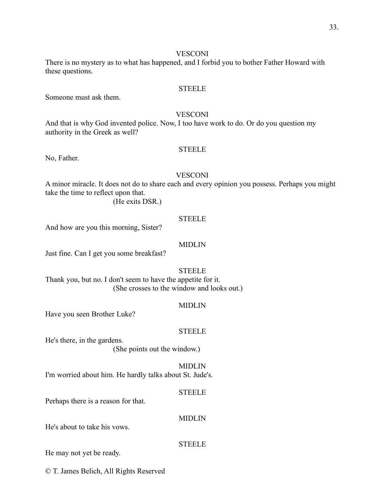#### **VESCONI**

There is no mystery as to what has happened, and I forbid you to bother Father Howard with these questions.

#### **STEELE**

Someone must ask them.

#### **VESCONI**

And that is why God invented police. Now, I too have work to do. Or do you question my authority in the Greek as well?

#### STEELE

No, Father.

#### **VESCONI**

A minor miracle. It does not do to share each and every opinion you possess. Perhaps you might take the time to reflect upon that.

(He exits DSR.)

#### **STEELE**

And how are you this morning, Sister?

#### MIDLIN

Just fine. Can I get you some breakfast?

#### **STEELE**

Thank you, but no. I don't seem to have the appetite for it. (She crosses to the window and looks out.)

#### MIDLIN

Have you seen Brother Luke?

#### STEELE

He's there, in the gardens.

(She points out the window.)

#### MIDLIN

I'm worried about him. He hardly talks about St. Jude's.

#### **STEELE**

MIDLIN

Perhaps there is a reason for that.

He's about to take his vows.

#### **STEELE**

He may not yet be ready.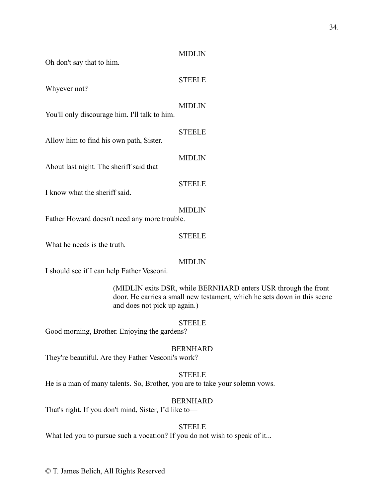#### MIDLIN

Oh don't say that to him.

#### Whyever not?

#### MIDLIN

**STEELE** 

You'll only discourage him. I'll talk to him.

#### **STEELE**

Allow him to find his own path, Sister.

#### MIDLIN

About last night. The sheriff said that—

#### **STEELE**

I know what the sheriff said.

#### MIDLIN Father Howard doesn't need any more trouble.

#### **STEELE**

What he needs is the truth.

#### MIDLIN

I should see if I can help Father Vesconi.

(MIDLIN exits DSR, while BERNHARD enters USR through the front door. He carries a small new testament, which he sets down in this scene and does not pick up again.)

#### STEELE

Good morning, Brother. Enjoying the gardens?

#### BERNHARD

They're beautiful. Are they Father Vesconi's work?

#### **STEELE**

He is a man of many talents. So, Brother, you are to take your solemn vows.

#### BERNHARD

That's right. If you don't mind, Sister, I'd like to—

#### **STEELE**

What led you to pursue such a vocation? If you do not wish to speak of it...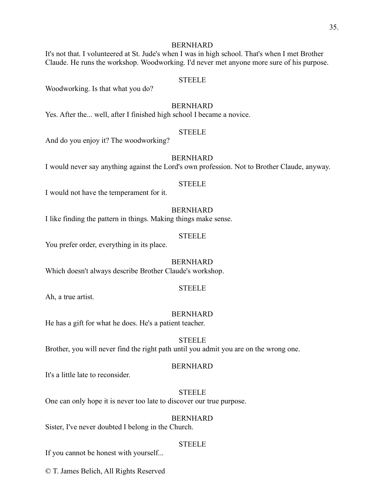It's not that. I volunteered at St. Jude's when I was in high school. That's when I met Brother Claude. He runs the workshop. Woodworking. I'd never met anyone more sure of his purpose.

#### **STEELE**

Woodworking. Is that what you do?

#### BERNHARD

Yes. After the... well, after I finished high school I became a novice.

#### STEELE

And do you enjoy it? The woodworking?

#### BERNHARD

I would never say anything against the Lord's own profession. Not to Brother Claude, anyway.

#### **STEELE**

I would not have the temperament for it.

#### BERNHARD

I like finding the pattern in things. Making things make sense.

#### **STEELE**

You prefer order, everything in its place.

#### BERNHARD

Which doesn't always describe Brother Claude's workshop.

#### **STEELE**

Ah, a true artist.

#### BERNHARD

He has a gift for what he does. He's a patient teacher.

#### **STEELE** Brother, you will never find the right path until you admit you are on the wrong one.

#### BERNHARD

It's a little late to reconsider.

#### **STEELE**

One can only hope it is never too late to discover our true purpose.

#### BERNHARD

Sister, I've never doubted I belong in the Church.

#### **STEELE**

If you cannot be honest with yourself...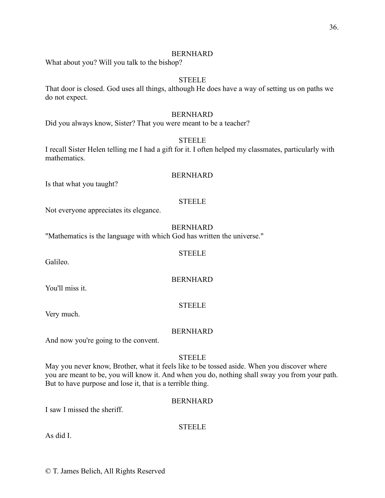What about you? Will you talk to the bishop?

#### **STEELE**

That door is closed. God uses all things, although He does have a way of setting us on paths we do not expect.

#### BERNHARD

Did you always know, Sister? That you were meant to be a teacher?

#### **STEELE**

I recall Sister Helen telling me I had a gift for it. I often helped my classmates, particularly with mathematics.

#### BERNHARD

Is that what you taught?

#### **STEELE**

Not everyone appreciates its elegance.

#### BERNHARD

"Mathematics is the language with which God has written the universe."

#### **STEELE**

#### BERNHARD

#### **STEELE**

Very much.

You'll miss it.

Galileo.

#### BERNHARD

And now you're going to the convent.

#### **STEELE**

May you never know, Brother, what it feels like to be tossed aside. When you discover where you are meant to be, you will know it. And when you do, nothing shall sway you from your path. But to have purpose and lose it, that is a terrible thing.

#### BERNHARD

I saw I missed the sheriff.

#### **STEELE**

As did I.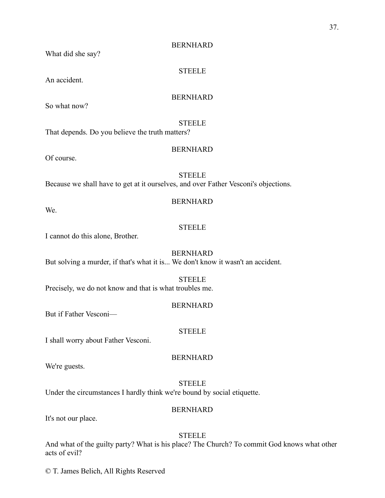**STEELE** 

What did she say?

An accident.

#### BERNHARD

So what now?

#### **STEELE**

That depends. Do you believe the truth matters?

#### BERNHARD

Of course.

#### **STEELE**

Because we shall have to get at it ourselves, and over Father Vesconi's objections.

#### BERNHARD

We.

#### **STEELE**

I cannot do this alone, Brother.

#### BERNHARD

But solving a murder, if that's what it is... We don't know it wasn't an accident.

#### **STEELE**

Precisely, we do not know and that is what troubles me.

#### BERNHARD

But if Father Vesconi—

#### STEELE

I shall worry about Father Vesconi.

We're guests.

### **STEELE**

BERNHARD

Under the circumstances I hardly think we're bound by social etiquette.

#### BERNHARD

It's not our place.

#### **STEELE**

And what of the guilty party? What is his place? The Church? To commit God knows what other acts of evil?